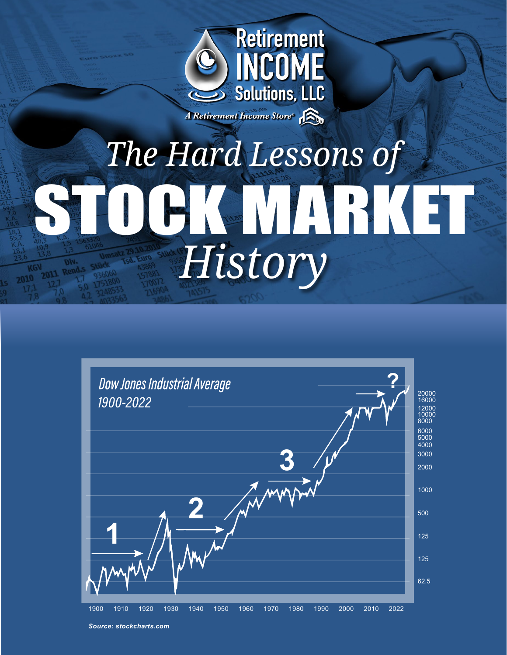

# *The Hard Lessons of* STOCK MARKET MARKET AND *History* The Hard Lessons of The Case of the Law Stock of Story and the Law Stock of Story and the Case of Tistory and the Case of Tistory and the Case of Tistory and the Case of Tistory and the Case of Tistory and the Case of Tistory and the Case of



*Source: stockcharts.com*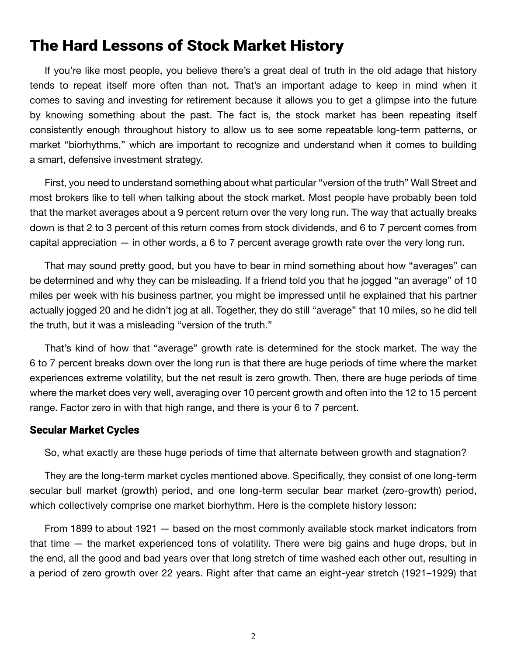# The Hard Lessons of Stock Market History

If you're like most people, you believe there's a great deal of truth in the old adage that history tends to repeat itself more often than not. That's an important adage to keep in mind when it comes to saving and investing for retirement because it allows you to get a glimpse into the future by knowing something about the past. The fact is, the stock market has been repeating itself consistently enough throughout history to allow us to see some repeatable long-term patterns, or market "biorhythms," which are important to recognize and understand when it comes to building a smart, defensive investment strategy.

First, you need to understand something about what particular "version of the truth" Wall Street and most brokers like to tell when talking about the stock market. Most people have probably been told that the market averages about a 9 percent return over the very long run. The way that actually breaks down is that 2 to 3 percent of this return comes from stock dividends, and 6 to 7 percent comes from capital appreciation — in other words, a 6 to 7 percent average growth rate over the very long run.

That may sound pretty good, but you have to bear in mind something about how "averages" can be determined and why they can be misleading. If a friend told you that he jogged "an average" of 10 miles per week with his business partner, you might be impressed until he explained that his partner actually jogged 20 and he didn't jog at all. Together, they do still "average" that 10 miles, so he did tell the truth, but it was a misleading "version of the truth."

That's kind of how that "average" growth rate is determined for the stock market. The way the 6 to 7 percent breaks down over the long run is that there are huge periods of time where the market experiences extreme volatility, but the net result is zero growth. Then, there are huge periods of time where the market does very well, averaging over 10 percent growth and often into the 12 to 15 percent range. Factor zero in with that high range, and there is your 6 to 7 percent.

## Secular Market Cycles

So, what exactly are these huge periods of time that alternate between growth and stagnation?

They are the long-term market cycles mentioned above. Specifically, they consist of one long-term secular bull market (growth) period, and one long-term secular bear market (zero-growth) period, which collectively comprise one market biorhythm. Here is the complete history lesson:

From 1899 to about 1921 — based on the most commonly available stock market indicators from that time — the market experienced tons of volatility. There were big gains and huge drops, but in the end, all the good and bad years over that long stretch of time washed each other out, resulting in a period of zero growth over 22 years. Right after that came an eight-year stretch (1921–1929) that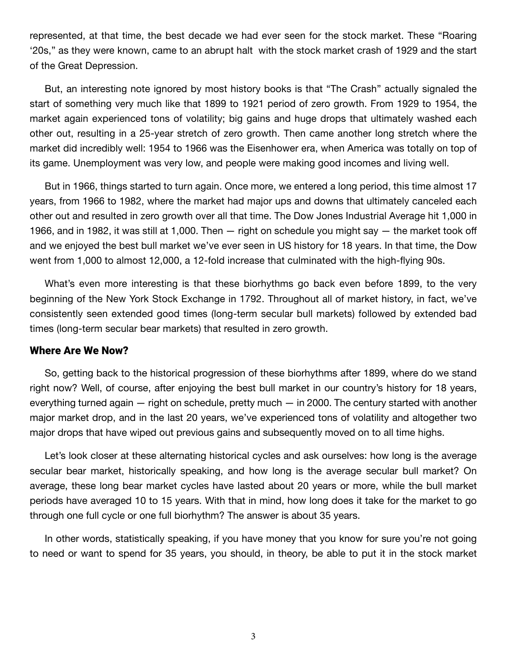represented, at that time, the best decade we had ever seen for the stock market. These "Roaring '20s," as they were known, came to an abrupt halt with the stock market crash of 1929 and the start of the Great Depression.

But, an interesting note ignored by most history books is that "The Crash" actually signaled the start of something very much like that 1899 to 1921 period of zero growth. From 1929 to 1954, the market again experienced tons of volatility; big gains and huge drops that ultimately washed each other out, resulting in a 25-year stretch of zero growth. Then came another long stretch where the market did incredibly well: 1954 to 1966 was the Eisenhower era, when America was totally on top of its game. Unemployment was very low, and people were making good incomes and living well.

But in 1966, things started to turn again. Once more, we entered a long period, this time almost 17 years, from 1966 to 1982, where the market had major ups and downs that ultimately canceled each other out and resulted in zero growth over all that time. The Dow Jones Industrial Average hit 1,000 in 1966, and in 1982, it was still at 1,000. Then — right on schedule you might say — the market took off and we enjoyed the best bull market we've ever seen in US history for 18 years. In that time, the Dow went from 1,000 to almost 12,000, a 12-fold increase that culminated with the high-flying 90s.

What's even more interesting is that these biorhythms go back even before 1899, to the very beginning of the New York Stock Exchange in 1792. Throughout all of market history, in fact, we've consistently seen extended good times (long-term secular bull markets) followed by extended bad times (long-term secular bear markets) that resulted in zero growth.

#### Where Are We Now?

So, getting back to the historical progression of these biorhythms after 1899, where do we stand right now? Well, of course, after enjoying the best bull market in our country's history for 18 years, everything turned again — right on schedule, pretty much — in 2000. The century started with another major market drop, and in the last 20 years, we've experienced tons of volatility and altogether two major drops that have wiped out previous gains and subsequently moved on to all time highs.

Let's look closer at these alternating historical cycles and ask ourselves: how long is the average secular bear market, historically speaking, and how long is the average secular bull market? On average, these long bear market cycles have lasted about 20 years or more, while the bull market periods have averaged 10 to 15 years. With that in mind, how long does it take for the market to go through one full cycle or one full biorhythm? The answer is about 35 years.

In other words, statistically speaking, if you have money that you know for sure you're not going to need or want to spend for 35 years, you should, in theory, be able to put it in the stock market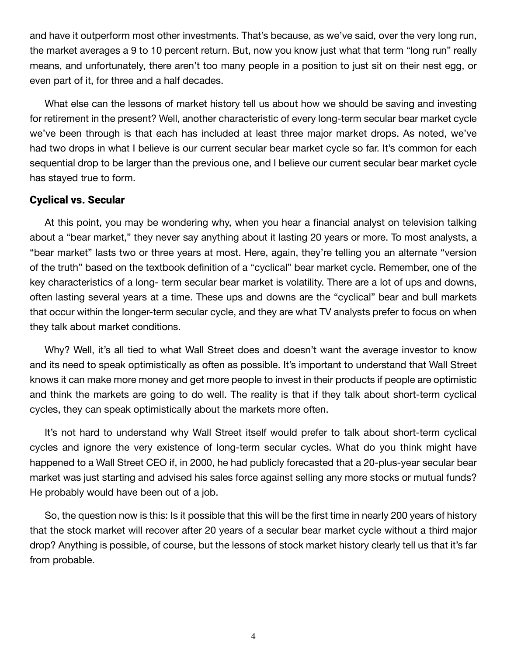and have it outperform most other investments. That's because, as we've said, over the very long run, the market averages a 9 to 10 percent return. But, now you know just what that term "long run" really means, and unfortunately, there aren't too many people in a position to just sit on their nest egg, or even part of it, for three and a half decades.

What else can the lessons of market history tell us about how we should be saving and investing for retirement in the present? Well, another characteristic of every long-term secular bear market cycle we've been through is that each has included at least three major market drops. As noted, we've had two drops in what I believe is our current secular bear market cycle so far. It's common for each sequential drop to be larger than the previous one, and I believe our current secular bear market cycle has stayed true to form.

## Cyclical vs. Secular

At this point, you may be wondering why, when you hear a financial analyst on television talking about a "bear market," they never say anything about it lasting 20 years or more. To most analysts, a "bear market" lasts two or three years at most. Here, again, they're telling you an alternate "version of the truth" based on the textbook definition of a "cyclical" bear market cycle. Remember, one of the key characteristics of a long- term secular bear market is volatility. There are a lot of ups and downs, often lasting several years at a time. These ups and downs are the "cyclical" bear and bull markets that occur within the longer-term secular cycle, and they are what TV analysts prefer to focus on when they talk about market conditions.

Why? Well, it's all tied to what Wall Street does and doesn't want the average investor to know and its need to speak optimistically as often as possible. It's important to understand that Wall Street knows it can make more money and get more people to invest in their products if people are optimistic and think the markets are going to do well. The reality is that if they talk about short-term cyclical cycles, they can speak optimistically about the markets more often.

It's not hard to understand why Wall Street itself would prefer to talk about short-term cyclical cycles and ignore the very existence of long-term secular cycles. What do you think might have happened to a Wall Street CEO if, in 2000, he had publicly forecasted that a 20-plus-year secular bear market was just starting and advised his sales force against selling any more stocks or mutual funds? He probably would have been out of a job.

So, the question now is this: Is it possible that this will be the first time in nearly 200 years of history that the stock market will recover after 20 years of a secular bear market cycle without a third major drop? Anything is possible, of course, but the lessons of stock market history clearly tell us that it's far from probable.